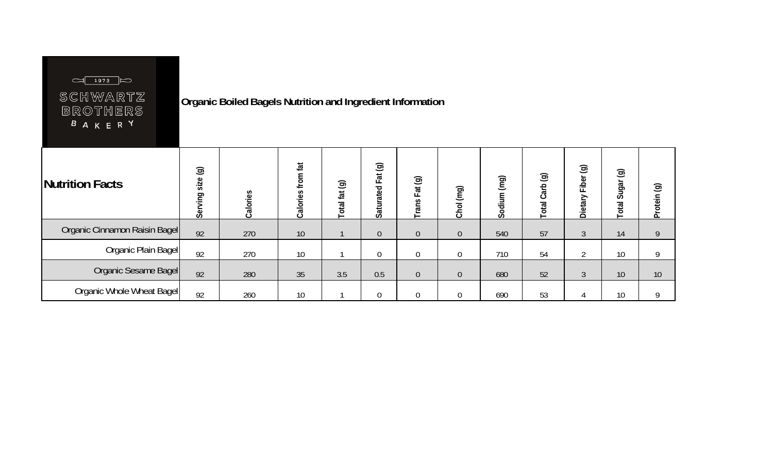|--|--|--|

SCHWARTZ BROTHERS<br>**BAKERY** 

## **Organic Boiled Bagels Nutrition and Ingredient Information**

| Nutrition Facts               | $\circledcirc$<br>size<br>Serving | Calories | from fat<br>Calories | $\circledcirc$<br>ig]<br>Total | $\circledcirc$<br>$\vec{a}$<br>ட<br>ated<br><b>Satura</b> | $\odot$<br>Fat<br>Trans | (mg)<br>Chol   | (mq)<br>Sodium | ම<br>arb<br>ں<br>otal | $\circledcirc$<br>Fiber<br>Dietary | $\circledcirc$<br>Sugar<br>Total | $\circledcirc$<br>Protein |
|-------------------------------|-----------------------------------|----------|----------------------|--------------------------------|-----------------------------------------------------------|-------------------------|----------------|----------------|-----------------------|------------------------------------|----------------------------------|---------------------------|
| Organic Cinnamon Raisin Bagel | 92                                | 270      | 10                   |                                | $\overline{0}$                                            | $\overline{0}$          | $\overline{0}$ | 540            | 57                    | $\overline{3}$                     | 14                               | 9                         |
| Organic Plain Bagel           | 92                                | 270      | 10                   |                                | 0                                                         | 0                       | 0              | 710            | 54                    | ി                                  | 10                               | 9                         |
| Organic Sesame Bagel          | 92                                | 280      | 35                   | 3.5                            | 0.5                                                       | $\overline{0}$          | $\mathbf 0$    | 680            | 52                    | $\Omega$<br>ు                      | 10                               | 10                        |
| Organic Whole Wheat Bagel     | 92                                | 260      | 10                   |                                | 0                                                         | $\overline{0}$          | 0              | 690            | 53                    |                                    | 10 <sup>°</sup>                  | 9                         |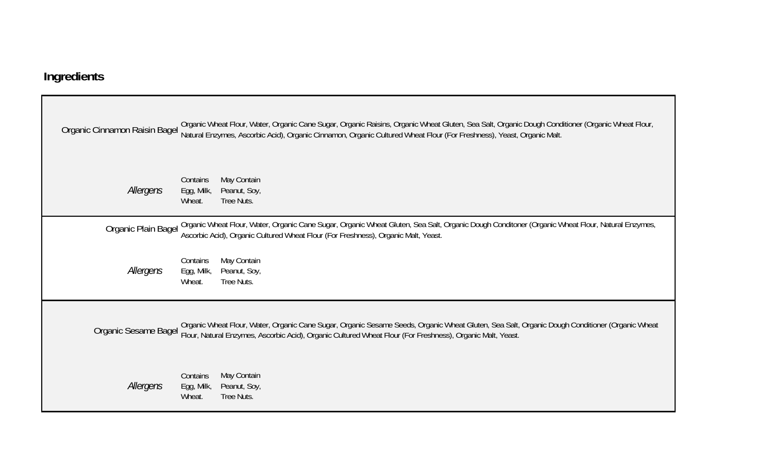## **Ingredients**

| Organic Cinnamon Raisin Bagel | Organic Wheat Flour, Water, Organic Cane Sugar, Organic Raisins, Organic Wheat Gluten, Sea Salt, Organic Dough Conditioner (Organic Wheat Flour,<br>Natural Enzymes, Ascorbic Acid), Organic Cinnamon, Organic Cultured Wheat Flour (For Freshness), Yeast, Organic Malt. |
|-------------------------------|---------------------------------------------------------------------------------------------------------------------------------------------------------------------------------------------------------------------------------------------------------------------------|
| Allergens                     | May Contain<br>Contains<br>Egg, Milk,<br>Peanut, Soy,<br>Tree Nuts.<br>Wheat.                                                                                                                                                                                             |
| Organic Plain Bagel           | Organic Wheat Flour, Water, Organic Cane Sugar, Organic Wheat Gluten, Sea Salt, Organic Dough Conditoner (Organic Wheat Flour, Natural Enzymes,<br>Ascorbic Acid), Organic Cultured Wheat Flour (For Freshness), Organic Malt, Yeast.                                     |
| Allergens                     | May Contain<br>Contains<br>Peanut, Soy,<br>Egg, Milk,<br>Wheat.<br>Tree Nuts.                                                                                                                                                                                             |
| Organic Sesame Bagel          | Organic Wheat Flour, Water, Organic Cane Sugar, Organic Sesame Seeds, Organic Wheat Gluten, Sea Salt, Organic Dough Conditioner (Organic Wheat<br>Flour, Natural Enzymes, Ascorbic Acid), Organic Cultured Wheat Flour (For Freshness), Organic Malt, Yeast.              |
| Allergens                     | May Contain<br>Contains<br>Egg, Milk,<br>Peanut, Soy,<br>Wheat.<br>Tree Nuts.                                                                                                                                                                                             |